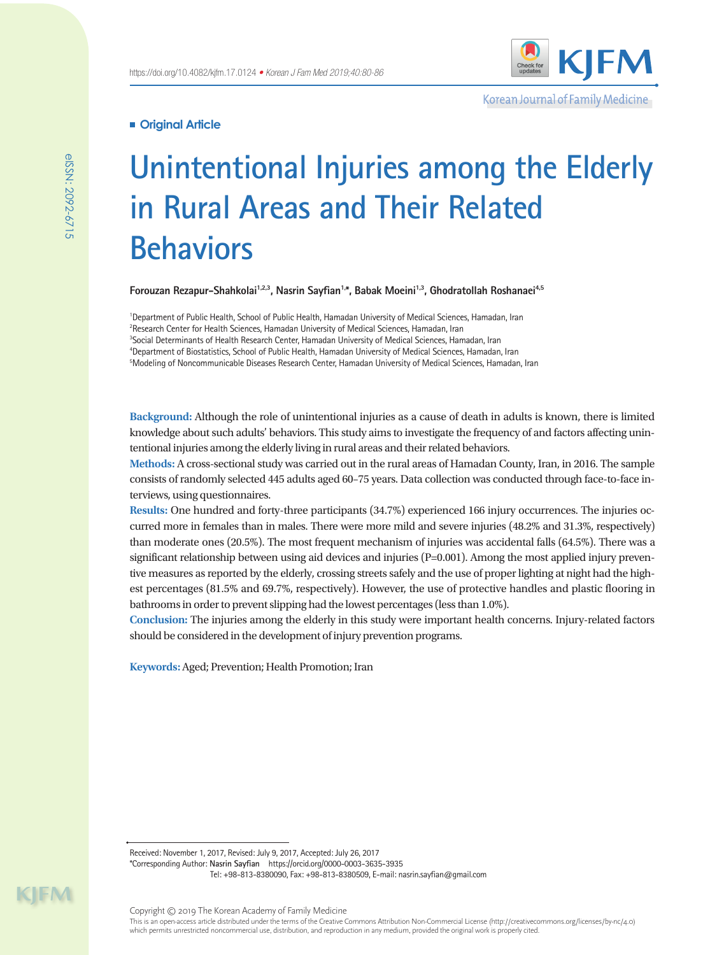

Korean Journal of Family Medicine

# **Original Article**

# **Unintentional Injuries among the Elderly in Rural Areas and Their Related Behaviors**

Forouzan Rezapur-Shahkolai<sup>1,2,3</sup>, Nasrin Sayfian<sup>1,\*</sup>, Babak Moeini<sup>1,3</sup>, Ghodratollah Roshanaei<sup>4,5</sup>

 Department of Public Health, School of Public Health, Hamadan University of Medical Sciences, Hamadan, Iran <sup>2</sup>Research Center for Health Sciences, Hamadan University of Medical Sciences, Hamadan, Iran Social Determinants of Health Research Center, Hamadan University of Medical Sciences, Hamadan, Iran Department of Biostatistics, School of Public Health, Hamadan University of Medical Sciences, Hamadan, Iran Modeling of Noncommunicable Diseases Research Center, Hamadan University of Medical Sciences, Hamadan, Iran

**Background:** Although the role of unintentional injuries as a cause of death in adults is known, there is limited knowledge about such adults' behaviors. This study aims to investigate the frequency of and factors affecting unintentional injuries among the elderly living in rural areas and their related behaviors.

**Methods:** A cross-sectional study was carried out in the rural areas of Hamadan County, Iran, in 2016. The sample consists of randomly selected 445 adults aged 60–75 years. Data collection was conducted through face-to-face interviews, using questionnaires.

**Results:** One hundred and forty-three participants (34.7%) experienced 166 injury occurrences. The injuries occurred more in females than in males. There were more mild and severe injuries (48.2% and 31.3%, respectively) than moderate ones (20.5%). The most frequent mechanism of injuries was accidental falls (64.5%). There was a significant relationship between using aid devices and injuries (P=0.001). Among the most applied injury preventive measures as reported by the elderly, crossing streets safely and the use of proper lighting at night had the highest percentages (81.5% and 69.7%, respectively). However, the use of protective handles and plastic flooring in bathrooms in order to prevent slipping had the lowest percentages (less than 1.0%).

**Conclusion:** The injuries among the elderly in this study were important health concerns. Injury-related factors should be considered in the development of injury prevention programs.

**Keywords:** Aged; Prevention; Health Promotion; Iran

Received: November 1, 2017, Revised: July 9, 2017, Accepted: July 26, 2017

\*Corresponding Author: **Nasrin Sayfian** https://orcid.org/0000-0003-3635-3935

Tel: +98-813-8380090, Fax: +98-813-8380509, E-mail: nasrin.sayfian@gmail.com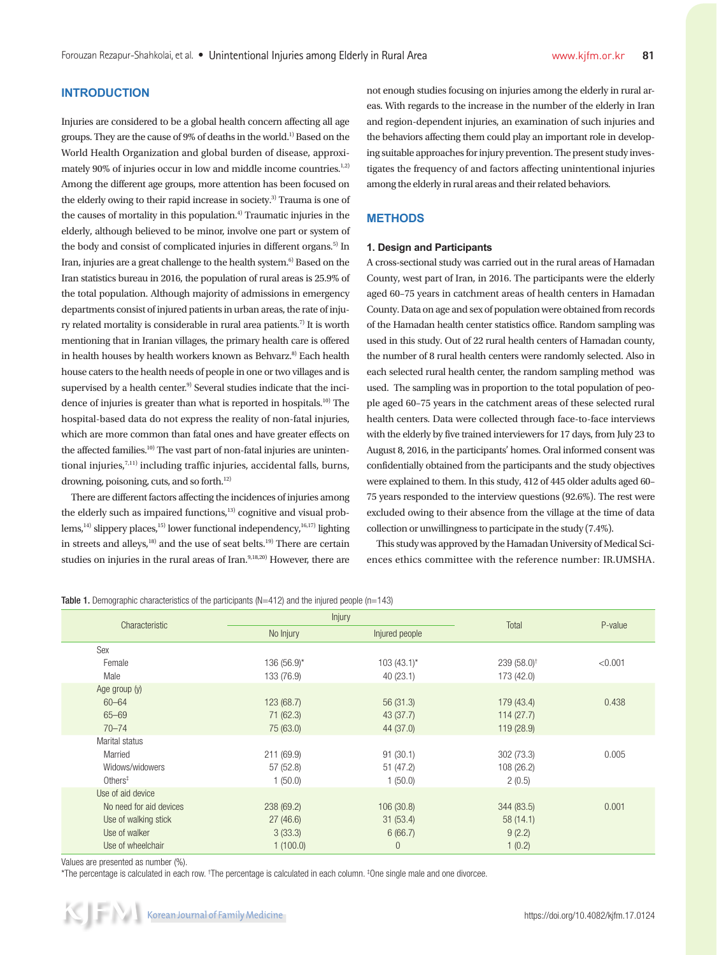# **INTRODUCTION**

Injuries are considered to be a global health concern affecting all age groups. They are the cause of 9% of deaths in the world.1) Based on the World Health Organization and global burden of disease, approximately 90% of injuries occur in low and middle income countries.<sup>1,2)</sup> Among the different age groups, more attention has been focused on the elderly owing to their rapid increase in society.<sup>3)</sup> Trauma is one of the causes of mortality in this population.<sup>4)</sup> Traumatic injuries in the elderly, although believed to be minor, involve one part or system of the body and consist of complicated injuries in different organs.<sup>5)</sup> In Iran, injuries are a great challenge to the health system.<sup>6)</sup> Based on the Iran statistics bureau in 2016, the population of rural areas is 25.9% of the total population. Although majority of admissions in emergency departments consist of injured patients in urban areas, the rate of injury related mortality is considerable in rural area patients.<sup>7)</sup> It is worth mentioning that in Iranian villages, the primary health care is offered in health houses by health workers known as Behvarz.<sup>8)</sup> Each health house caters to the health needs of people in one or two villages and is supervised by a health center.<sup>9)</sup> Several studies indicate that the incidence of injuries is greater than what is reported in hospitals.10) The hospital-based data do not express the reality of non-fatal injuries, which are more common than fatal ones and have greater effects on the affected families.<sup>10)</sup> The vast part of non-fatal injuries are unintentional injuries, $7,11)$  including traffic injuries, accidental falls, burns, drowning, poisoning, cuts, and so forth.<sup>12)</sup>

There are different factors affecting the incidences of injuries among the elderly such as impaired functions,<sup>13)</sup> cognitive and visual problems,<sup>14)</sup> slippery places,<sup>15)</sup> lower functional independency,<sup>16,17)</sup> lighting in streets and alleys,<sup>18)</sup> and the use of seat belts.<sup>19)</sup> There are certain studies on injuries in the rural areas of Iran.<sup>9,18,20)</sup> However, there are not enough studies focusing on injuries among the elderly in rural areas. With regards to the increase in the number of the elderly in Iran and region-dependent injuries, an examination of such injuries and the behaviors affecting them could play an important role in developing suitable approaches for injury prevention. The present study investigates the frequency of and factors affecting unintentional injuries among the elderly in rural areas and their related behaviors.

## **METHODS**

#### **1. Design and Participants**

A cross-sectional study was carried out in the rural areas of Hamadan County, west part of Iran, in 2016. The participants were the elderly aged 60–75 years in catchment areas of health centers in Hamadan County. Data on age and sex of population were obtained from records of the Hamadan health center statistics office. Random sampling was used in this study. Out of 22 rural health centers of Hamadan county, the number of 8 rural health centers were randomly selected. Also in each selected rural health center, the random sampling method was used. The sampling was in proportion to the total population of people aged 60–75 years in the catchment areas of these selected rural health centers. Data were collected through face-to-face interviews with the elderly by five trained interviewers for 17 days, from July 23 to August 8, 2016, in the participants' homes. Oral informed consent was confidentially obtained from the participants and the study objectives were explained to them. In this study, 412 of 445 older adults aged 60– 75 years responded to the interview questions (92.6%). The rest were excluded owing to their absence from the village at the time of data collection or unwillingness to participate in the study (7.4%).

This study was approved by the Hamadan University of Medical Sciences ethics committee with the reference number: IR.UMSHA.

#### **Table 1.** Demographic characteristics of the participants (N=412) and the injured people (n=143)

| Characteristic                           | Injury      |                |                          |         |
|------------------------------------------|-------------|----------------|--------------------------|---------|
|                                          | No Injury   | Injured people | Total                    | P-value |
| Sex                                      |             |                |                          |         |
| Female                                   | 136 (56.9)* | $103(43.1)$ *  | $239(58.0)$ <sup>†</sup> | < 0.001 |
| Male                                     | 133 (76.9)  | 40(23.1)       | 173 (42.0)               |         |
| Age group (y)                            |             |                |                          |         |
| $60 - 64$                                | 123(68.7)   | 56(31.3)       | 179 (43.4)               | 0.438   |
| $65 - 69$                                | 71 (62.3)   | 43 (37.7)      | 114(27.7)                |         |
| $70 - 74$                                | 75 (63.0)   | 44 (37.0)      | 119(28.9)                |         |
| Marital status                           |             |                |                          |         |
| Married                                  | 211(69.9)   | 91(30.1)       | 302 (73.3)               | 0.005   |
| Widows/widowers                          | 57 (52.8)   | 51(47.2)       | 108 (26.2)               |         |
| $Other$ <sup><math>\ddagger</math></sup> | 1(50.0)     | 1(50.0)        | 2(0.5)                   |         |
| Use of aid device                        |             |                |                          |         |
| No need for aid devices                  | 238 (69.2)  | 106(30.8)      | 344 (83.5)               | 0.001   |
| Use of walking stick                     | 27(46.6)    | 31(53.4)       | 58(14.1)                 |         |
| Use of walker                            | 3(33.3)     | 6(66.7)        | 9(2.2)                   |         |
| Use of wheelchair                        | 1(100.0)    | $\overline{0}$ | 1(0.2)                   |         |

Values are presented as number (%).

\*The percentage is calculated in each row. † The percentage is calculated in each column. ‡ One single male and one divorcee.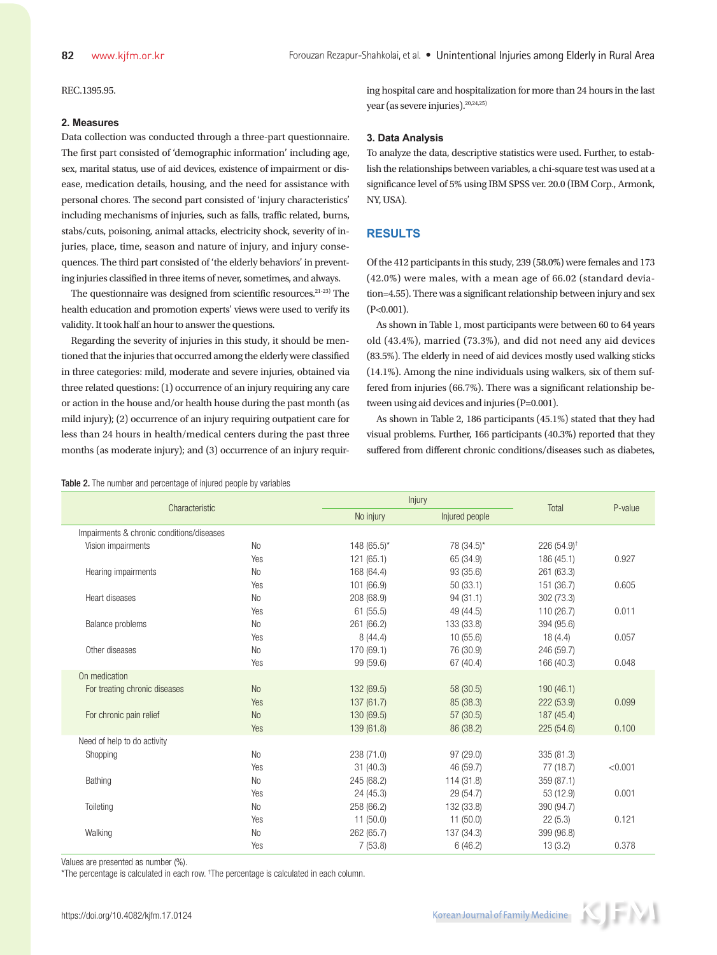REC.1395.95.

#### **2. Measures**

Data collection was conducted through a three-part questionnaire. The first part consisted of 'demographic information' including age, sex, marital status, use of aid devices, existence of impairment or disease, medication details, housing, and the need for assistance with personal chores. The second part consisted of 'injury characteristics' including mechanisms of injuries, such as falls, traffic related, burns, stabs/cuts, poisoning, animal attacks, electricity shock, severity of injuries, place, time, season and nature of injury, and injury consequences. The third part consisted of 'the elderly behaviors' in preventing injuries classified in three items of never, sometimes, and always.

The questionnaire was designed from scientific resources.21-23) The health education and promotion experts' views were used to verify its validity. It took half an hour to answer the questions.

Regarding the severity of injuries in this study, it should be mentioned that the injuries that occurred among the elderly were classified in three categories: mild, moderate and severe injuries, obtained via three related questions: (1) occurrence of an injury requiring any care or action in the house and/or health house during the past month (as mild injury); (2) occurrence of an injury requiring outpatient care for less than 24 hours in health/medical centers during the past three months (as moderate injury); and (3) occurrence of an injury requir-

Table 2. The number and percentage of injured people by variables

ing hospital care and hospitalization for more than 24 hours in the last year (as severe injuries).<sup>20,24,25)</sup>

## **3. Data Analysis**

To analyze the data, descriptive statistics were used. Further, to establish the relationships between variables, a chi-square test was used at a significance level of 5% using IBM SPSS ver. 20.0 (IBM Corp., Armonk, NY, USA).

## **RESULTS**

Of the 412 participants in this study, 239 (58.0%) were females and 173 (42.0%) were males, with a mean age of 66.02 (standard deviation=4.55). There was a significant relationship between injury and sex (P<0.001).

As shown in Table 1, most participants were between 60 to 64 years old (43.4%), married (73.3%), and did not need any aid devices (83.5%). The elderly in need of aid devices mostly used walking sticks (14.1%). Among the nine individuals using walkers, six of them suffered from injuries (66.7%). There was a significant relationship between using aid devices and injuries (P=0.001).

As shown in Table 2, 186 participants (45.1%) stated that they had visual problems. Further, 166 participants (40.3%) reported that they suffered from different chronic conditions/diseases such as diabetes,

| Total<br>No injury<br>Injured people<br>Impairments & chronic conditions/diseases<br>226 $(54.9)$ <sup>†</sup><br>Vision impairments<br>No<br>$148(65.5)^{*}$<br>78 (34.5)*<br>121 (65.1)<br>65 (34.9)<br>186 (45.1)<br>0.927<br>Yes<br>N <sub>0</sub><br>168 (64.4)<br>93 (35.6)<br>261 (63.3)<br>Hearing impairments<br>101 (66.9)<br>50(33.1)<br>151 (36.7)<br>0.605<br>Yes<br>Heart diseases<br><b>No</b><br>208 (68.9)<br>94(31.1)<br>302 (73.3)<br>61(55.5)<br>49 (44.5)<br>110 (26.7)<br>0.011<br>Yes<br>133 (33.8)<br><b>No</b><br>261 (66.2)<br>394 (95.6)<br>Balance problems<br>8(44.4)<br>10(55.6)<br>18(4.4)<br>0.057<br>Yes<br>170 (69.1)<br>Other diseases<br>76 (30.9)<br>246 (59.7)<br>N <sub>o</sub><br>Yes<br>99 (59.6)<br>67 (40.4)<br>166 (40.3)<br>0.048<br>On medication<br><b>No</b><br>58 (30.5)<br>For treating chronic diseases<br>132 (69.5)<br>190(46.1)<br>137 (61.7)<br>85 (38.3)<br>222 (53.9)<br><b>Yes</b><br>0.099<br>For chronic pain relief<br><b>No</b><br>130 (69.5)<br>187 (45.4)<br>57(30.5)<br>Yes<br>139 (61.8)<br>86 (38.2)<br>225(54.6)<br>0.100<br>Need of help to do activity<br>97(29.0)<br>335 (81.3)<br>N <sub>0</sub><br>238 (71.0)<br>Shopping<br>31(40.3)<br>46 (59.7)<br>< 0.001<br>Yes<br>77 (18.7)<br>Bathing<br><b>No</b><br>245 (68.2)<br>114 (31.8)<br>359 (87.1)<br>0.001<br>24 (45.3)<br>29 (54.7)<br>53 (12.9)<br>Yes<br>Toileting<br>No<br>258 (66.2)<br>132 (33.8)<br>390 (94.7)<br>11(50.0)<br>11(50.0)<br>22(5.3)<br>0.121<br>Yes<br>Walking<br><b>No</b><br>399 (96.8)<br>262 (65.7)<br>137 (34.3)<br>7(53.8)<br>6(46.2)<br>13(3.2)<br>0.378<br>Yes | Characteristic |  | Injury |  | P-value |
|------------------------------------------------------------------------------------------------------------------------------------------------------------------------------------------------------------------------------------------------------------------------------------------------------------------------------------------------------------------------------------------------------------------------------------------------------------------------------------------------------------------------------------------------------------------------------------------------------------------------------------------------------------------------------------------------------------------------------------------------------------------------------------------------------------------------------------------------------------------------------------------------------------------------------------------------------------------------------------------------------------------------------------------------------------------------------------------------------------------------------------------------------------------------------------------------------------------------------------------------------------------------------------------------------------------------------------------------------------------------------------------------------------------------------------------------------------------------------------------------------------------------------------------------------------------------------------------------------------------------|----------------|--|--------|--|---------|
|                                                                                                                                                                                                                                                                                                                                                                                                                                                                                                                                                                                                                                                                                                                                                                                                                                                                                                                                                                                                                                                                                                                                                                                                                                                                                                                                                                                                                                                                                                                                                                                                                        |                |  |        |  |         |
|                                                                                                                                                                                                                                                                                                                                                                                                                                                                                                                                                                                                                                                                                                                                                                                                                                                                                                                                                                                                                                                                                                                                                                                                                                                                                                                                                                                                                                                                                                                                                                                                                        |                |  |        |  |         |
|                                                                                                                                                                                                                                                                                                                                                                                                                                                                                                                                                                                                                                                                                                                                                                                                                                                                                                                                                                                                                                                                                                                                                                                                                                                                                                                                                                                                                                                                                                                                                                                                                        |                |  |        |  |         |
|                                                                                                                                                                                                                                                                                                                                                                                                                                                                                                                                                                                                                                                                                                                                                                                                                                                                                                                                                                                                                                                                                                                                                                                                                                                                                                                                                                                                                                                                                                                                                                                                                        |                |  |        |  |         |
|                                                                                                                                                                                                                                                                                                                                                                                                                                                                                                                                                                                                                                                                                                                                                                                                                                                                                                                                                                                                                                                                                                                                                                                                                                                                                                                                                                                                                                                                                                                                                                                                                        |                |  |        |  |         |
|                                                                                                                                                                                                                                                                                                                                                                                                                                                                                                                                                                                                                                                                                                                                                                                                                                                                                                                                                                                                                                                                                                                                                                                                                                                                                                                                                                                                                                                                                                                                                                                                                        |                |  |        |  |         |
|                                                                                                                                                                                                                                                                                                                                                                                                                                                                                                                                                                                                                                                                                                                                                                                                                                                                                                                                                                                                                                                                                                                                                                                                                                                                                                                                                                                                                                                                                                                                                                                                                        |                |  |        |  |         |
|                                                                                                                                                                                                                                                                                                                                                                                                                                                                                                                                                                                                                                                                                                                                                                                                                                                                                                                                                                                                                                                                                                                                                                                                                                                                                                                                                                                                                                                                                                                                                                                                                        |                |  |        |  |         |
|                                                                                                                                                                                                                                                                                                                                                                                                                                                                                                                                                                                                                                                                                                                                                                                                                                                                                                                                                                                                                                                                                                                                                                                                                                                                                                                                                                                                                                                                                                                                                                                                                        |                |  |        |  |         |
|                                                                                                                                                                                                                                                                                                                                                                                                                                                                                                                                                                                                                                                                                                                                                                                                                                                                                                                                                                                                                                                                                                                                                                                                                                                                                                                                                                                                                                                                                                                                                                                                                        |                |  |        |  |         |
|                                                                                                                                                                                                                                                                                                                                                                                                                                                                                                                                                                                                                                                                                                                                                                                                                                                                                                                                                                                                                                                                                                                                                                                                                                                                                                                                                                                                                                                                                                                                                                                                                        |                |  |        |  |         |
|                                                                                                                                                                                                                                                                                                                                                                                                                                                                                                                                                                                                                                                                                                                                                                                                                                                                                                                                                                                                                                                                                                                                                                                                                                                                                                                                                                                                                                                                                                                                                                                                                        |                |  |        |  |         |
|                                                                                                                                                                                                                                                                                                                                                                                                                                                                                                                                                                                                                                                                                                                                                                                                                                                                                                                                                                                                                                                                                                                                                                                                                                                                                                                                                                                                                                                                                                                                                                                                                        |                |  |        |  |         |
|                                                                                                                                                                                                                                                                                                                                                                                                                                                                                                                                                                                                                                                                                                                                                                                                                                                                                                                                                                                                                                                                                                                                                                                                                                                                                                                                                                                                                                                                                                                                                                                                                        |                |  |        |  |         |
|                                                                                                                                                                                                                                                                                                                                                                                                                                                                                                                                                                                                                                                                                                                                                                                                                                                                                                                                                                                                                                                                                                                                                                                                                                                                                                                                                                                                                                                                                                                                                                                                                        |                |  |        |  |         |
|                                                                                                                                                                                                                                                                                                                                                                                                                                                                                                                                                                                                                                                                                                                                                                                                                                                                                                                                                                                                                                                                                                                                                                                                                                                                                                                                                                                                                                                                                                                                                                                                                        |                |  |        |  |         |
|                                                                                                                                                                                                                                                                                                                                                                                                                                                                                                                                                                                                                                                                                                                                                                                                                                                                                                                                                                                                                                                                                                                                                                                                                                                                                                                                                                                                                                                                                                                                                                                                                        |                |  |        |  |         |
|                                                                                                                                                                                                                                                                                                                                                                                                                                                                                                                                                                                                                                                                                                                                                                                                                                                                                                                                                                                                                                                                                                                                                                                                                                                                                                                                                                                                                                                                                                                                                                                                                        |                |  |        |  |         |
|                                                                                                                                                                                                                                                                                                                                                                                                                                                                                                                                                                                                                                                                                                                                                                                                                                                                                                                                                                                                                                                                                                                                                                                                                                                                                                                                                                                                                                                                                                                                                                                                                        |                |  |        |  |         |
|                                                                                                                                                                                                                                                                                                                                                                                                                                                                                                                                                                                                                                                                                                                                                                                                                                                                                                                                                                                                                                                                                                                                                                                                                                                                                                                                                                                                                                                                                                                                                                                                                        |                |  |        |  |         |
|                                                                                                                                                                                                                                                                                                                                                                                                                                                                                                                                                                                                                                                                                                                                                                                                                                                                                                                                                                                                                                                                                                                                                                                                                                                                                                                                                                                                                                                                                                                                                                                                                        |                |  |        |  |         |
|                                                                                                                                                                                                                                                                                                                                                                                                                                                                                                                                                                                                                                                                                                                                                                                                                                                                                                                                                                                                                                                                                                                                                                                                                                                                                                                                                                                                                                                                                                                                                                                                                        |                |  |        |  |         |
|                                                                                                                                                                                                                                                                                                                                                                                                                                                                                                                                                                                                                                                                                                                                                                                                                                                                                                                                                                                                                                                                                                                                                                                                                                                                                                                                                                                                                                                                                                                                                                                                                        |                |  |        |  |         |
|                                                                                                                                                                                                                                                                                                                                                                                                                                                                                                                                                                                                                                                                                                                                                                                                                                                                                                                                                                                                                                                                                                                                                                                                                                                                                                                                                                                                                                                                                                                                                                                                                        |                |  |        |  |         |
|                                                                                                                                                                                                                                                                                                                                                                                                                                                                                                                                                                                                                                                                                                                                                                                                                                                                                                                                                                                                                                                                                                                                                                                                                                                                                                                                                                                                                                                                                                                                                                                                                        |                |  |        |  |         |
|                                                                                                                                                                                                                                                                                                                                                                                                                                                                                                                                                                                                                                                                                                                                                                                                                                                                                                                                                                                                                                                                                                                                                                                                                                                                                                                                                                                                                                                                                                                                                                                                                        |                |  |        |  |         |

Values are presented as number (%).

\*The percentage is calculated in each row. † The percentage is calculated in each column.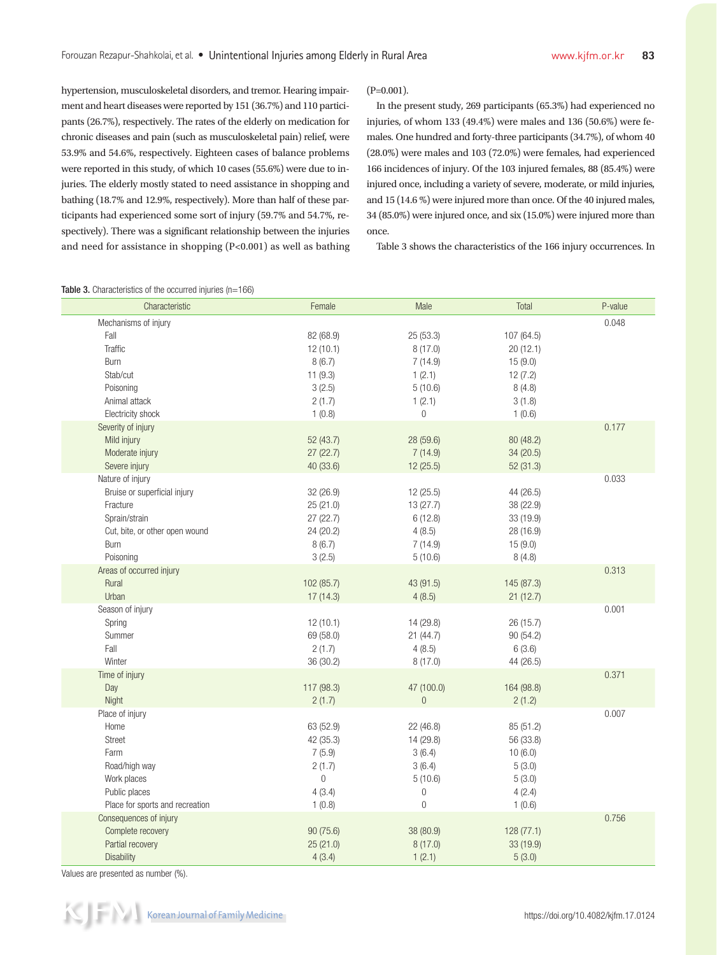hypertension, musculoskeletal disorders, and tremor. Hearing impairment and heart diseases were reported by 151 (36.7%) and 110 participants (26.7%), respectively. The rates of the elderly on medication for chronic diseases and pain (such as musculoskeletal pain) relief, were 53.9% and 54.6%, respectively. Eighteen cases of balance problems were reported in this study, of which 10 cases (55.6%) were due to injuries. The elderly mostly stated to need assistance in shopping and bathing (18.7% and 12.9%, respectively). More than half of these participants had experienced some sort of injury (59.7% and 54.7%, respectively). There was a significant relationship between the injuries and need for assistance in shopping (P<0.001) as well as bathing

#### $(P=0.001)$ .

In the present study, 269 participants (65.3%) had experienced no injuries, of whom 133 (49.4%) were males and 136 (50.6%) were females. One hundred and forty-three participants (34.7%), of whom 40 (28.0%) were males and 103 (72.0%) were females, had experienced 166 incidences of injury. Of the 103 injured females, 88 (85.4%) were injured once, including a variety of severe, moderate, or mild injuries, and 15 (14.6 %) were injured more than once. Of the 40 injured males, 34 (85.0%) were injured once, and six (15.0%) were injured more than once.

Table 3 shows the characteristics of the 166 injury occurrences. In

| Characteristic                                                                                                                       | Female                                                                           | Male                                                                                     | Total                                                                     | P-value |
|--------------------------------------------------------------------------------------------------------------------------------------|----------------------------------------------------------------------------------|------------------------------------------------------------------------------------------|---------------------------------------------------------------------------|---------|
| Mechanisms of injury<br>Fall<br>Traffic<br>Burn<br>Stab/cut<br>Poisoning                                                             | 82 (68.9)<br>12(10.1)<br>8(6.7)<br>11(9.3)<br>3(2.5)                             | 25(53.3)<br>8(17.0)<br>7(14.9)<br>1(2.1)<br>5(10.6)                                      | 107 (64.5)<br>20(12.1)<br>15(9.0)<br>12(7.2)<br>8(4.8)                    | 0.048   |
| Animal attack<br>Electricity shock                                                                                                   | 2(1.7)<br>1(0.8)                                                                 | 1(2.1)<br>$\boldsymbol{0}$                                                               | 3(1.8)<br>1(0.6)                                                          |         |
| Severity of injury<br>Mild injury<br>Moderate injury<br>Severe injury                                                                | 52 (43.7)<br>27(22.7)<br>40 (33.6)                                               | 28 (59.6)<br>7(14.9)<br>12 (25.5)                                                        | 80 (48.2)<br>34 (20.5)<br>52 (31.3)                                       | 0.177   |
| Nature of injury<br>Bruise or superficial injury<br>Fracture<br>Sprain/strain<br>Cut, bite, or other open wound<br>Burn<br>Poisoning | 32 (26.9)<br>25 (21.0)<br>27 (22.7)<br>24 (20.2)<br>8(6.7)<br>3(2.5)             | 12(25.5)<br>13(27.7)<br>6(12.8)<br>4(8.5)<br>7(14.9)<br>5(10.6)                          | 44 (26.5)<br>38 (22.9)<br>33 (19.9)<br>28 (16.9)<br>15(9.0)<br>8(4.8)     | 0.033   |
| Areas of occurred injury<br>Rural<br>Urban                                                                                           | 102 (85.7)<br>17(14.3)                                                           | 43 (91.5)<br>4(8.5)                                                                      | 145 (87.3)<br>21(12.7)                                                    | 0.313   |
| Season of injury<br>Spring<br>Summer<br>Fall<br>Winter                                                                               | 12(10.1)<br>69 (58.0)<br>2(1.7)<br>36 (30.2)                                     | 14 (29.8)<br>21(44.7)<br>4(8.5)<br>8(17.0)                                               | 26 (15.7)<br>90 (54.2)<br>6(3.6)<br>44 (26.5)                             | 0.001   |
| Time of injury<br>Day<br>Night                                                                                                       | 117 (98.3)<br>2(1.7)                                                             | 47 (100.0)<br>$\overline{0}$                                                             | 164 (98.8)<br>2(1.2)                                                      | 0.371   |
| Place of injury<br>Home<br>Street<br>Farm<br>Road/high way<br>Work places<br>Public places<br>Place for sports and recreation        | 63 (52.9)<br>42 (35.3)<br>7(5.9)<br>2(1.7)<br>$\overline{0}$<br>4(3.4)<br>1(0.8) | 22 (46.8)<br>14 (29.8)<br>3(6.4)<br>3(6.4)<br>5(10.6)<br>$\boldsymbol{0}$<br>$\mathbf 0$ | 85 (51.2)<br>56 (33.8)<br>10(6.0)<br>5(3.0)<br>5(3.0)<br>4(2.4)<br>1(0.6) | 0.007   |
| Consequences of injury<br>Complete recovery<br>Partial recovery<br>Disability                                                        | 90 (75.6)<br>25 (21.0)<br>4(3.4)                                                 | 38 (80.9)<br>8(17.0)<br>1(2.1)                                                           | 128 (77.1)<br>33 (19.9)<br>5(3.0)                                         | 0.756   |

#### Table 3. Characteristics of the occurred injuries (n=166)

Values are presented as number (%).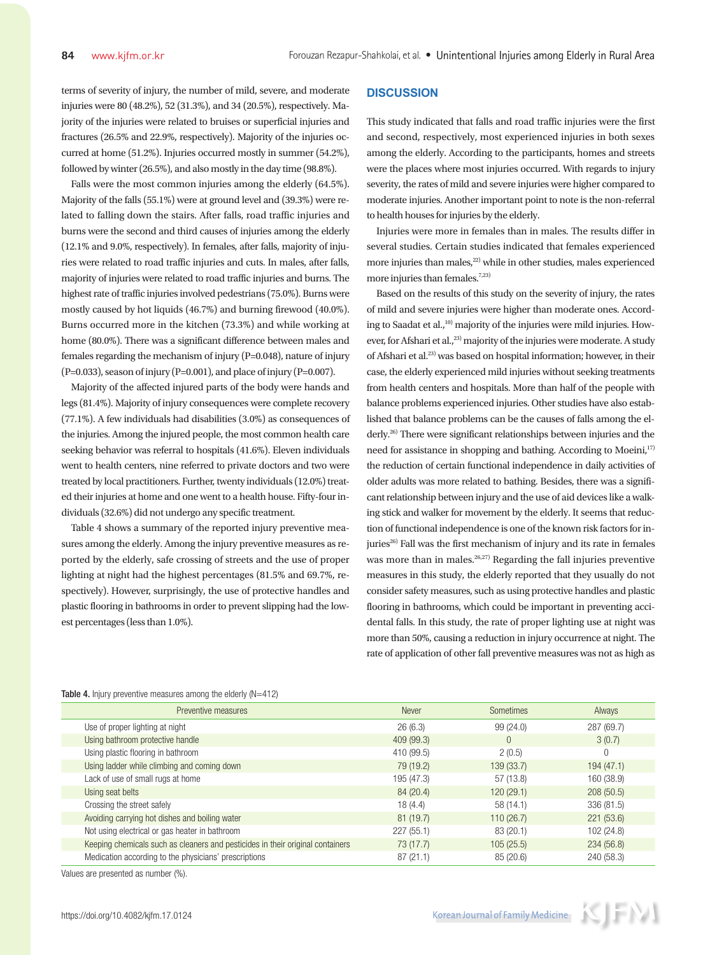terms of severity of injury, the number of mild, severe, and moderate injuries were 80 (48.2%), 52 (31.3%), and 34 (20.5%), respectively. Majority of the injuries were related to bruises or superficial injuries and fractures (26.5% and 22.9%, respectively). Majority of the injuries occurred at home (51.2%). Injuries occurred mostly in summer (54.2%), followed by winter (26.5%), and also mostly in the day time (98.8%).

Falls were the most common injuries among the elderly (64.5%). Majority of the falls (55.1%) were at ground level and (39.3%) were related to falling down the stairs. After falls, road traffic injuries and burns were the second and third causes of injuries among the elderly (12.1% and 9.0%, respectively). In females, after falls, majority of injuries were related to road traffic injuries and cuts. In males, after falls, majority of injuries were related to road traffic injuries and burns. The highest rate of traffic injuries involved pedestrians (75.0%). Burns were mostly caused by hot liquids (46.7%) and burning firewood (40.0%). Burns occurred more in the kitchen (73.3%) and while working at home (80.0%). There was a significant difference between males and females regarding the mechanism of injury (P=0.048), nature of injury  $(P=0.033)$ , season of injury  $(P=0.001)$ , and place of injury  $(P=0.007)$ .

Majority of the affected injured parts of the body were hands and legs (81.4%). Majority of injury consequences were complete recovery (77.1%). A few individuals had disabilities (3.0%) as consequences of the injuries. Among the injured people, the most common health care seeking behavior was referral to hospitals (41.6%). Eleven individuals went to health centers, nine referred to private doctors and two were treated by local practitioners. Further, twenty individuals (12.0%) treated their injuries at home and one went to a health house. Fifty-four individuals (32.6%) did not undergo any specific treatment.

Table 4 shows a summary of the reported injury preventive measures among the elderly. Among the injury preventive measures as reported by the elderly, safe crossing of streets and the use of proper lighting at night had the highest percentages (81.5% and 69.7%, respectively). However, surprisingly, the use of protective handles and plastic flooring in bathrooms in order to prevent slipping had the lowest percentages (less than 1.0%).

## **DISCUSSION**

This study indicated that falls and road traffic injuries were the first and second, respectively, most experienced injuries in both sexes among the elderly. According to the participants, homes and streets were the places where most injuries occurred. With regards to injury severity, the rates of mild and severe injuries were higher compared to moderate injuries. Another important point to note is the non-referral to health houses for injuries by the elderly.

Injuries were more in females than in males. The results differ in several studies. Certain studies indicated that females experienced more injuries than males,<sup>22)</sup> while in other studies, males experienced more injuries than females.<sup>7,23)</sup>

Based on the results of this study on the severity of injury, the rates of mild and severe injuries were higher than moderate ones. According to Saadat et al.,<sup>10)</sup> majority of the injuries were mild injuries. However, for Afshari et al.,<sup>23)</sup> majority of the injuries were moderate. A study of Afshari et al.23) was based on hospital information; however, in their case, the elderly experienced mild injuries without seeking treatments from health centers and hospitals. More than half of the people with balance problems experienced injuries. Other studies have also established that balance problems can be the causes of falls among the elderly.<sup>26)</sup> There were significant relationships between injuries and the need for assistance in shopping and bathing. According to Moeini,<sup>17)</sup> the reduction of certain functional independence in daily activities of older adults was more related to bathing. Besides, there was a significant relationship between injury and the use of aid devices like a walking stick and walker for movement by the elderly. It seems that reduction of functional independence is one of the known risk factors for injuries<sup>26)</sup> Fall was the first mechanism of injury and its rate in females was more than in males.<sup>26,27)</sup> Regarding the fall injuries preventive measures in this study, the elderly reported that they usually do not consider safety measures, such as using protective handles and plastic flooring in bathrooms, which could be important in preventing accidental falls. In this study, the rate of proper lighting use at night was more than 50%, causing a reduction in injury occurrence at night. The rate of application of other fall preventive measures was not as high as

| Preventive measures                                                            | Never      | Sometimes      | Always     |
|--------------------------------------------------------------------------------|------------|----------------|------------|
| Use of proper lighting at night                                                | 26(6.3)    | 99 (24.0)      | 287 (69.7) |
| Using bathroom protective handle                                               | 409 (99.3) | $\overline{0}$ | 3(0.7)     |
| Using plastic flooring in bathroom                                             | 410 (99.5) | 2(0.5)         | 0          |
| Using ladder while climbing and coming down                                    | 79 (19.2)  | 139 (33.7)     | 194(47.1)  |
| Lack of use of small rugs at home                                              | 195 (47.3) | 57 (13.8)      | 160 (38.9) |
| Using seat belts                                                               | 84 (20.4)  | 120(29.1)      | 208(50.5)  |
| Crossing the street safely                                                     | 18 (4.4)   | 58(14.1)       | 336 (81.5) |
| Avoiding carrying hot dishes and boiling water                                 | 81(19.7)   | 110(26.7)      | 221(53.6)  |
| Not using electrical or gas heater in bathroom                                 | 227(55.1)  | 83 (20.1)      | 102(24.8)  |
| Keeping chemicals such as cleaners and pesticides in their original containers | 73 (17.7)  | 105(25.5)      | 234(56.8)  |
| Medication according to the physicians' prescriptions                          | 87(21.1)   | 85(20.6)       | 240 (58.3) |

Table 4. Injury preventive measures among the elderly (N=412)

Values are presented as number (%).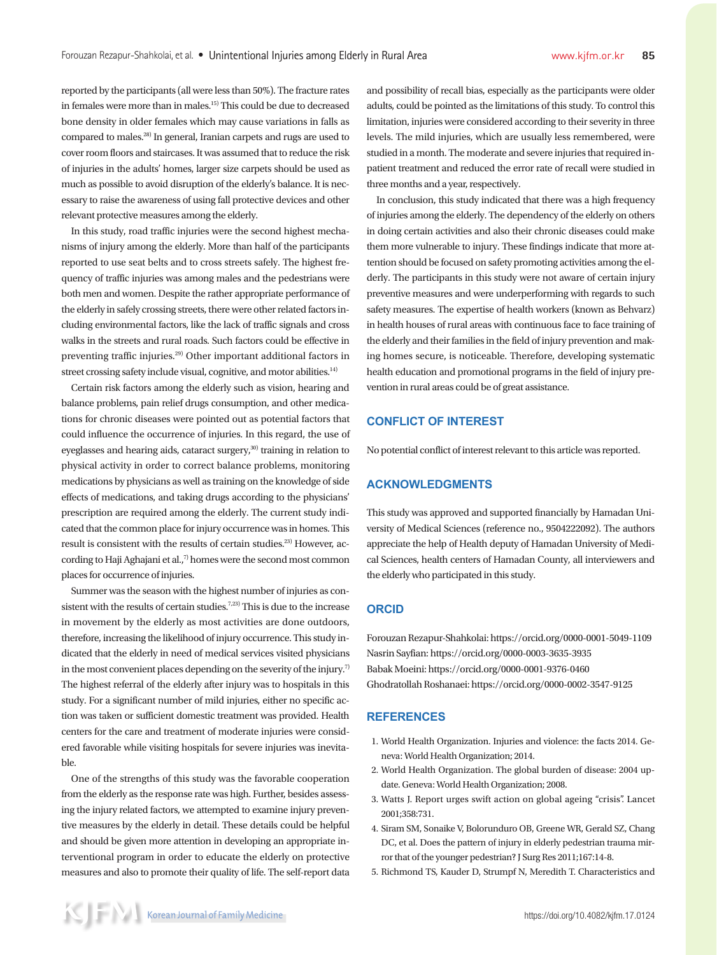reported by the participants (all were less than 50%). The fracture rates in females were more than in males.15) This could be due to decreased bone density in older females which may cause variations in falls as compared to males.28) In general, Iranian carpets and rugs are used to cover room floors and staircases. It was assumed that to reduce the risk of injuries in the adults' homes, larger size carpets should be used as much as possible to avoid disruption of the elderly's balance. It is necessary to raise the awareness of using fall protective devices and other relevant protective measures among the elderly.

In this study, road traffic injuries were the second highest mechanisms of injury among the elderly. More than half of the participants reported to use seat belts and to cross streets safely. The highest frequency of traffic injuries was among males and the pedestrians were both men and women. Despite the rather appropriate performance of the elderly in safely crossing streets, there were other related factors including environmental factors, like the lack of traffic signals and cross walks in the streets and rural roads. Such factors could be effective in preventing traffic injuries.29) Other important additional factors in street crossing safety include visual, cognitive, and motor abilities.<sup>14)</sup>

Certain risk factors among the elderly such as vision, hearing and balance problems, pain relief drugs consumption, and other medications for chronic diseases were pointed out as potential factors that could influence the occurrence of injuries. In this regard, the use of eyeglasses and hearing aids, cataract surgery,<sup>30</sup> training in relation to physical activity in order to correct balance problems, monitoring medications by physicians as well as training on the knowledge of side effects of medications, and taking drugs according to the physicians' prescription are required among the elderly. The current study indicated that the common place for injury occurrence was in homes. This result is consistent with the results of certain studies.23) However, according to Haji Aghajani et al., $7$  homes were the second most common places for occurrence of injuries.

Summer was the season with the highest number of injuries as consistent with the results of certain studies.<sup>7,23)</sup> This is due to the increase in movement by the elderly as most activities are done outdoors, therefore, increasing the likelihood of injury occurrence. This study indicated that the elderly in need of medical services visited physicians in the most convenient places depending on the severity of the injury.<sup>7)</sup> The highest referral of the elderly after injury was to hospitals in this study. For a significant number of mild injuries, either no specific action was taken or sufficient domestic treatment was provided. Health centers for the care and treatment of moderate injuries were considered favorable while visiting hospitals for severe injuries was inevitable.

One of the strengths of this study was the favorable cooperation from the elderly as the response rate was high. Further, besides assessing the injury related factors, we attempted to examine injury preventive measures by the elderly in detail. These details could be helpful and should be given more attention in developing an appropriate interventional program in order to educate the elderly on protective measures and also to promote their quality of life. The self-report data and possibility of recall bias, especially as the participants were older adults, could be pointed as the limitations of this study. To control this limitation, injuries were considered according to their severity in three levels. The mild injuries, which are usually less remembered, were studied in a month. The moderate and severe injuries that required inpatient treatment and reduced the error rate of recall were studied in three months and a year, respectively.

In conclusion, this study indicated that there was a high frequency of injuries among the elderly. The dependency of the elderly on others in doing certain activities and also their chronic diseases could make them more vulnerable to injury. These findings indicate that more attention should be focused on safety promoting activities among the elderly. The participants in this study were not aware of certain injury preventive measures and were underperforming with regards to such safety measures. The expertise of health workers (known as Behvarz) in health houses of rural areas with continuous face to face training of the elderly and their families in the field of injury prevention and making homes secure, is noticeable. Therefore, developing systematic health education and promotional programs in the field of injury prevention in rural areas could be of great assistance.

# **CONFLICT OF INTEREST**

No potential conflict of interest relevant to this article was reported.

## **ACKNOWLEDGMENTS**

This study was approved and supported financially by Hamadan University of Medical Sciences (reference no., 9504222092). The authors appreciate the help of Health deputy of Hamadan University of Medical Sciences, health centers of Hamadan County, all interviewers and the elderly who participated in this study.

#### **ORCID**

Forouzan Rezapur-Shahkolai: https://orcid.org/0000-0001-5049-1109 Nasrin Sayfian: https://orcid.org/0000-0003-3635-3935 Babak Moeini: https://orcid.org/0000-0001-9376-0460 Ghodratollah Roshanaei: https://orcid.org/0000-0002-3547-9125

# **REFERENCES**

- 1. World Health Organization. Injuries and violence: the facts 2014. Geneva: World Health Organization; 2014.
- 2. World Health Organization. The global burden of disease: 2004 update. Geneva: World Health Organization; 2008.
- 3. Watts J. Report urges swift action on global ageing "crisis". Lancet 2001;358:731.
- 4. Siram SM, Sonaike V, Bolorunduro OB, Greene WR, Gerald SZ, Chang DC, et al. Does the pattern of injury in elderly pedestrian trauma mirror that of the younger pedestrian? J Surg Res 2011;167:14-8.
- 5. Richmond TS, Kauder D, Strumpf N, Meredith T. Characteristics and